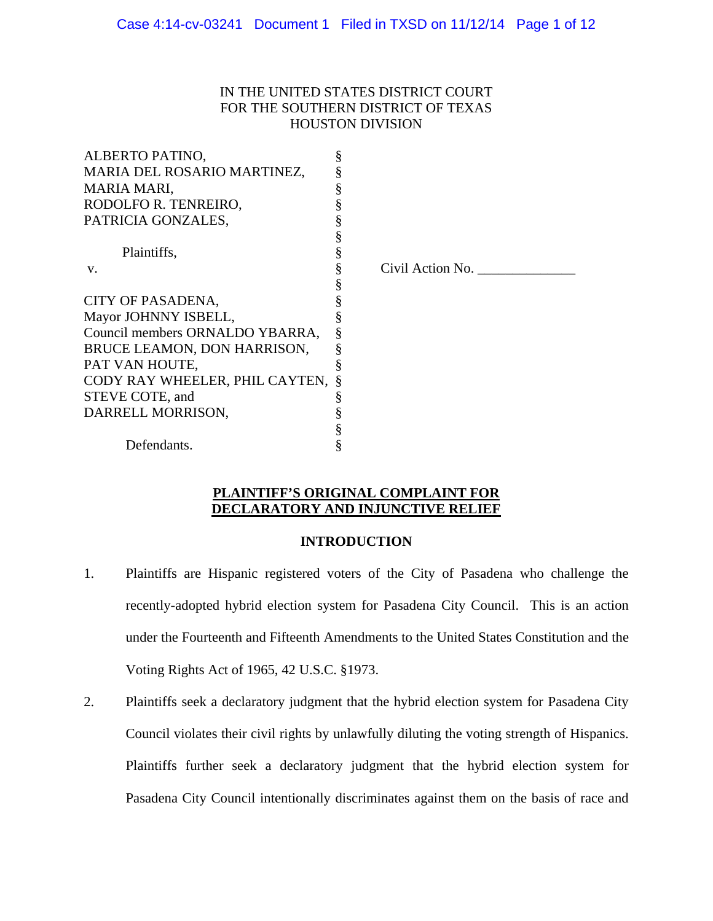# IN THE UNITED STATES DISTRICT COURT FOR THE SOUTHERN DISTRICT OF TEXAS HOUSTON DIVISION

| ALBERTO PATINO,                  | § |                  |
|----------------------------------|---|------------------|
| MARIA DEL ROSARIO MARTINEZ,      |   |                  |
| <b>MARIA MARI,</b>               | § |                  |
| RODOLFO R. TENREIRO,             |   |                  |
| PATRICIA GONZALES,               |   |                  |
|                                  | § |                  |
| Plaintiffs,                      | § |                  |
| V.                               | § | Civil Action No. |
|                                  | § |                  |
| CITY OF PASADENA,                |   |                  |
| Mayor JOHNNY ISBELL,             | § |                  |
| Council members ORNALDO YBARRA,  | § |                  |
| BRUCE LEAMON, DON HARRISON,      | § |                  |
| PAT VAN HOUTE,                   | § |                  |
| CODY RAY WHEELER, PHIL CAYTEN, § |   |                  |
| STEVE COTE, and                  |   |                  |
| DARRELL MORRISON,                |   |                  |
|                                  | § |                  |
| Defendants.                      | § |                  |
|                                  |   |                  |

# **PLAINTIFF'S ORIGINAL COMPLAINT FOR DECLARATORY AND INJUNCTIVE RELIEF**

## **INTRODUCTION**

- 1. Plaintiffs are Hispanic registered voters of the City of Pasadena who challenge the recently-adopted hybrid election system for Pasadena City Council. This is an action under the Fourteenth and Fifteenth Amendments to the United States Constitution and the Voting Rights Act of 1965, 42 U.S.C. §1973.
- 2. Plaintiffs seek a declaratory judgment that the hybrid election system for Pasadena City Council violates their civil rights by unlawfully diluting the voting strength of Hispanics. Plaintiffs further seek a declaratory judgment that the hybrid election system for Pasadena City Council intentionally discriminates against them on the basis of race and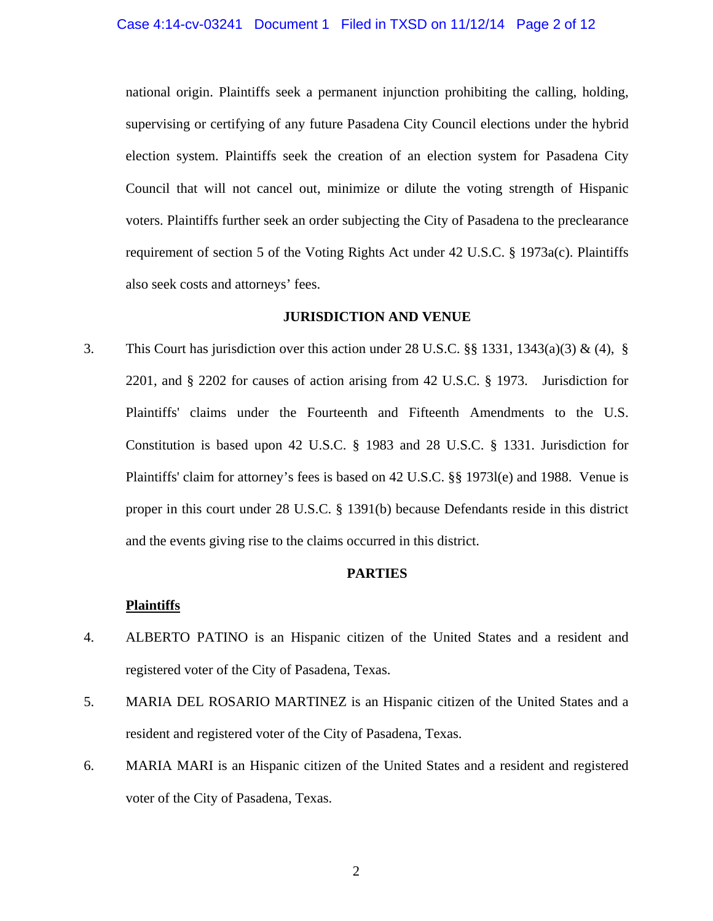## Case 4:14-cv-03241 Document 1 Filed in TXSD on 11/12/14 Page 2 of 12

national origin. Plaintiffs seek a permanent injunction prohibiting the calling, holding, supervising or certifying of any future Pasadena City Council elections under the hybrid election system. Plaintiffs seek the creation of an election system for Pasadena City Council that will not cancel out, minimize or dilute the voting strength of Hispanic voters. Plaintiffs further seek an order subjecting the City of Pasadena to the preclearance requirement of section 5 of the Voting Rights Act under 42 U.S.C. § 1973a(c). Plaintiffs also seek costs and attorneys' fees.

## **JURISDICTION AND VENUE**

3. This Court has jurisdiction over this action under 28 U.S.C. §§ 1331, 1343(a)(3) & (4), § 2201, and § 2202 for causes of action arising from 42 U.S.C. § 1973. Jurisdiction for Plaintiffs' claims under the Fourteenth and Fifteenth Amendments to the U.S. Constitution is based upon 42 U.S.C. § 1983 and 28 U.S.C. § 1331. Jurisdiction for Plaintiffs' claim for attorney's fees is based on 42 U.S.C. §§ 1973l(e) and 1988. Venue is proper in this court under 28 U.S.C. § 1391(b) because Defendants reside in this district and the events giving rise to the claims occurred in this district.

# **PARTIES**

#### **Plaintiffs**

- 4. ALBERTO PATINO is an Hispanic citizen of the United States and a resident and registered voter of the City of Pasadena, Texas.
- 5. MARIA DEL ROSARIO MARTINEZ is an Hispanic citizen of the United States and a resident and registered voter of the City of Pasadena, Texas.
- 6. MARIA MARI is an Hispanic citizen of the United States and a resident and registered voter of the City of Pasadena, Texas.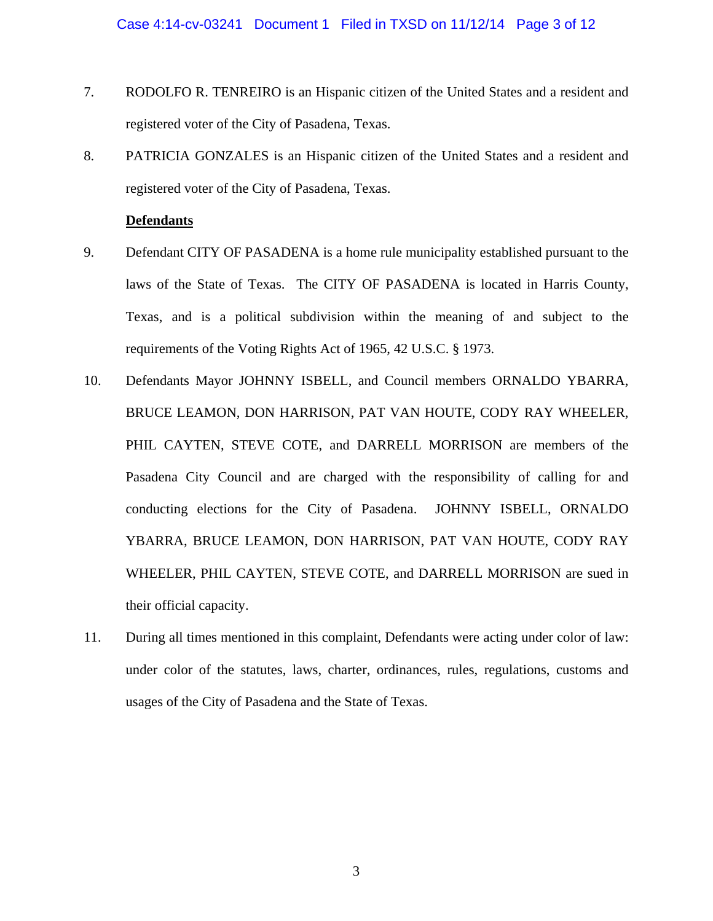- 7. RODOLFO R. TENREIRO is an Hispanic citizen of the United States and a resident and registered voter of the City of Pasadena, Texas.
- 8. PATRICIA GONZALES is an Hispanic citizen of the United States and a resident and registered voter of the City of Pasadena, Texas.

# **Defendants**

- 9. Defendant CITY OF PASADENA is a home rule municipality established pursuant to the laws of the State of Texas. The CITY OF PASADENA is located in Harris County, Texas, and is a political subdivision within the meaning of and subject to the requirements of the Voting Rights Act of 1965, 42 U.S.C. § 1973.
- 10. Defendants Mayor JOHNNY ISBELL, and Council members ORNALDO YBARRA, BRUCE LEAMON, DON HARRISON, PAT VAN HOUTE, CODY RAY WHEELER, PHIL CAYTEN, STEVE COTE, and DARRELL MORRISON are members of the Pasadena City Council and are charged with the responsibility of calling for and conducting elections for the City of Pasadena. JOHNNY ISBELL, ORNALDO YBARRA, BRUCE LEAMON, DON HARRISON, PAT VAN HOUTE, CODY RAY WHEELER, PHIL CAYTEN, STEVE COTE, and DARRELL MORRISON are sued in their official capacity.
- 11. During all times mentioned in this complaint, Defendants were acting under color of law: under color of the statutes, laws, charter, ordinances, rules, regulations, customs and usages of the City of Pasadena and the State of Texas.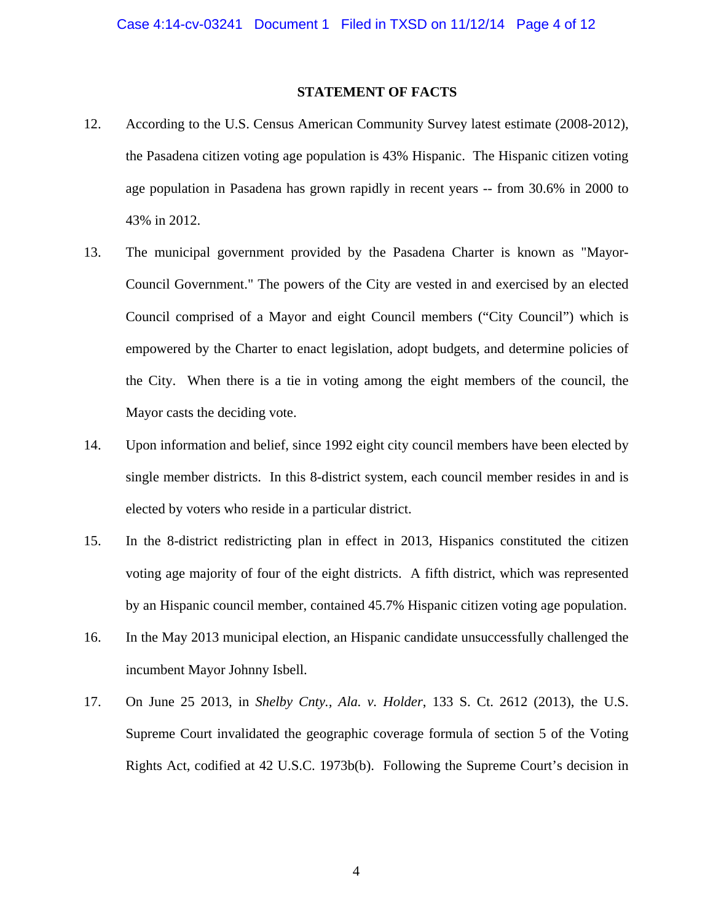## **STATEMENT OF FACTS**

- 12. According to the U.S. Census American Community Survey latest estimate (2008-2012), the Pasadena citizen voting age population is 43% Hispanic. The Hispanic citizen voting age population in Pasadena has grown rapidly in recent years -- from 30.6% in 2000 to 43% in 2012.
- 13. The municipal government provided by the Pasadena Charter is known as "Mayor-Council Government." The powers of the City are vested in and exercised by an elected Council comprised of a Mayor and eight Council members ("City Council") which is empowered by the Charter to enact legislation, adopt budgets, and determine policies of the City. When there is a tie in voting among the eight members of the council, the Mayor casts the deciding vote.
- 14. Upon information and belief, since 1992 eight city council members have been elected by single member districts. In this 8-district system, each council member resides in and is elected by voters who reside in a particular district.
- 15. In the 8-district redistricting plan in effect in 2013, Hispanics constituted the citizen voting age majority of four of the eight districts. A fifth district, which was represented by an Hispanic council member, contained 45.7% Hispanic citizen voting age population.
- 16. In the May 2013 municipal election, an Hispanic candidate unsuccessfully challenged the incumbent Mayor Johnny Isbell.
- 17. On June 25 2013, in *Shelby Cnty., Ala. v. Holder*, 133 S. Ct. 2612 (2013), the U.S. Supreme Court invalidated the geographic coverage formula of section 5 of the Voting Rights Act, codified at 42 U.S.C. 1973b(b). Following the Supreme Court's decision in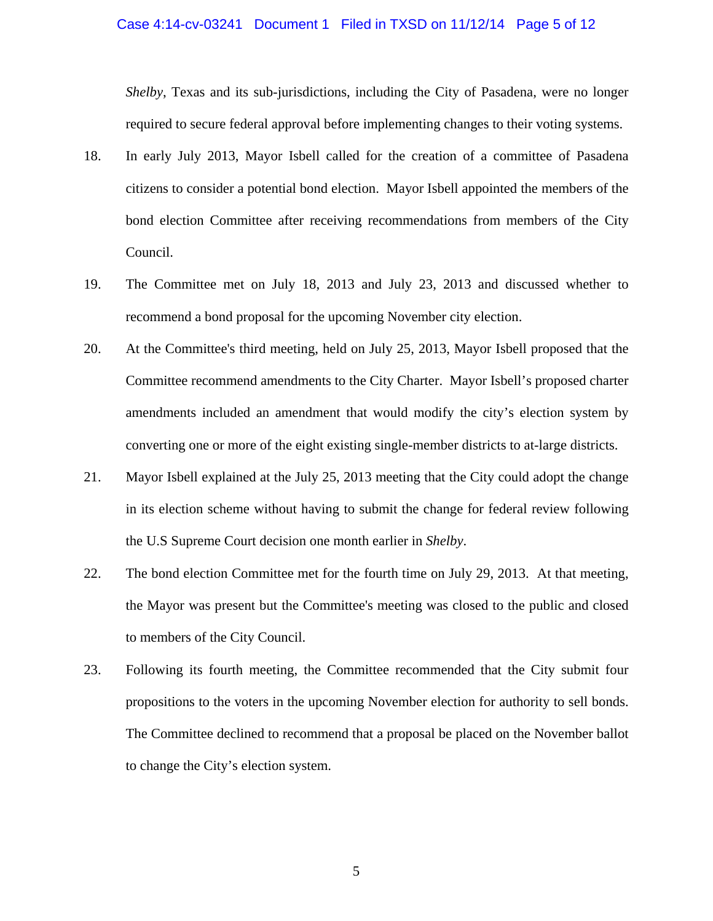#### Case 4:14-cv-03241 Document 1 Filed in TXSD on 11/12/14 Page 5 of 12

*Shelby*, Texas and its sub-jurisdictions, including the City of Pasadena, were no longer required to secure federal approval before implementing changes to their voting systems.

- 18. In early July 2013, Mayor Isbell called for the creation of a committee of Pasadena citizens to consider a potential bond election. Mayor Isbell appointed the members of the bond election Committee after receiving recommendations from members of the City Council.
- 19. The Committee met on July 18, 2013 and July 23, 2013 and discussed whether to recommend a bond proposal for the upcoming November city election.
- 20. At the Committee's third meeting, held on July 25, 2013, Mayor Isbell proposed that the Committee recommend amendments to the City Charter. Mayor Isbell's proposed charter amendments included an amendment that would modify the city's election system by converting one or more of the eight existing single-member districts to at-large districts.
- 21. Mayor Isbell explained at the July 25, 2013 meeting that the City could adopt the change in its election scheme without having to submit the change for federal review following the U.S Supreme Court decision one month earlier in *Shelby*.
- 22. The bond election Committee met for the fourth time on July 29, 2013. At that meeting, the Mayor was present but the Committee's meeting was closed to the public and closed to members of the City Council.
- 23. Following its fourth meeting, the Committee recommended that the City submit four propositions to the voters in the upcoming November election for authority to sell bonds. The Committee declined to recommend that a proposal be placed on the November ballot to change the City's election system.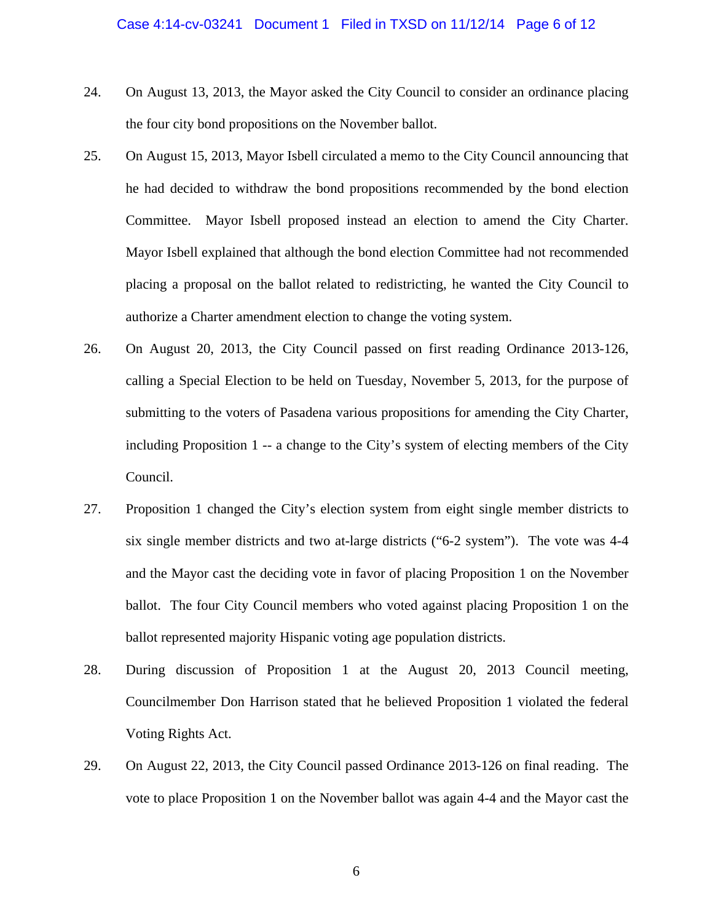- 24. On August 13, 2013, the Mayor asked the City Council to consider an ordinance placing the four city bond propositions on the November ballot.
- 25. On August 15, 2013, Mayor Isbell circulated a memo to the City Council announcing that he had decided to withdraw the bond propositions recommended by the bond election Committee. Mayor Isbell proposed instead an election to amend the City Charter. Mayor Isbell explained that although the bond election Committee had not recommended placing a proposal on the ballot related to redistricting, he wanted the City Council to authorize a Charter amendment election to change the voting system.
- 26. On August 20, 2013, the City Council passed on first reading Ordinance 2013-126, calling a Special Election to be held on Tuesday, November 5, 2013, for the purpose of submitting to the voters of Pasadena various propositions for amending the City Charter, including Proposition 1 -- a change to the City's system of electing members of the City Council.
- 27. Proposition 1 changed the City's election system from eight single member districts to six single member districts and two at-large districts ("6-2 system"). The vote was 4-4 and the Mayor cast the deciding vote in favor of placing Proposition 1 on the November ballot. The four City Council members who voted against placing Proposition 1 on the ballot represented majority Hispanic voting age population districts.
- 28. During discussion of Proposition 1 at the August 20, 2013 Council meeting, Councilmember Don Harrison stated that he believed Proposition 1 violated the federal Voting Rights Act.
- 29. On August 22, 2013, the City Council passed Ordinance 2013-126 on final reading. The vote to place Proposition 1 on the November ballot was again 4-4 and the Mayor cast the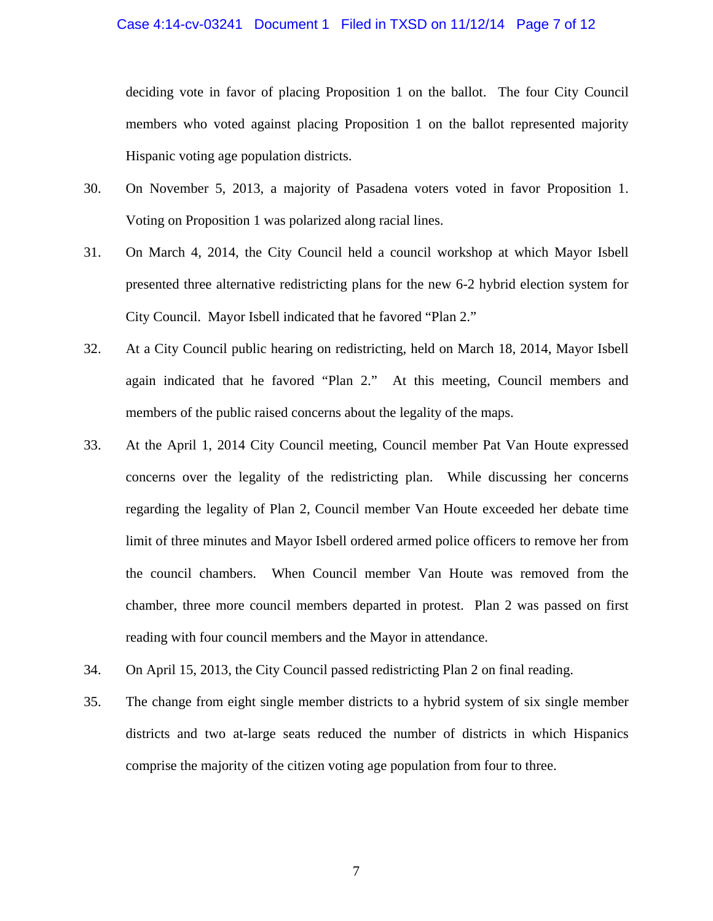## Case 4:14-cv-03241 Document 1 Filed in TXSD on 11/12/14 Page 7 of 12

deciding vote in favor of placing Proposition 1 on the ballot. The four City Council members who voted against placing Proposition 1 on the ballot represented majority Hispanic voting age population districts.

- 30. On November 5, 2013, a majority of Pasadena voters voted in favor Proposition 1. Voting on Proposition 1 was polarized along racial lines.
- 31. On March 4, 2014, the City Council held a council workshop at which Mayor Isbell presented three alternative redistricting plans for the new 6-2 hybrid election system for City Council. Mayor Isbell indicated that he favored "Plan 2."
- 32. At a City Council public hearing on redistricting, held on March 18, 2014, Mayor Isbell again indicated that he favored "Plan 2." At this meeting, Council members and members of the public raised concerns about the legality of the maps.
- 33. At the April 1, 2014 City Council meeting, Council member Pat Van Houte expressed concerns over the legality of the redistricting plan. While discussing her concerns regarding the legality of Plan 2, Council member Van Houte exceeded her debate time limit of three minutes and Mayor Isbell ordered armed police officers to remove her from the council chambers. When Council member Van Houte was removed from the chamber, three more council members departed in protest. Plan 2 was passed on first reading with four council members and the Mayor in attendance.
- 34. On April 15, 2013, the City Council passed redistricting Plan 2 on final reading.
- 35. The change from eight single member districts to a hybrid system of six single member districts and two at-large seats reduced the number of districts in which Hispanics comprise the majority of the citizen voting age population from four to three.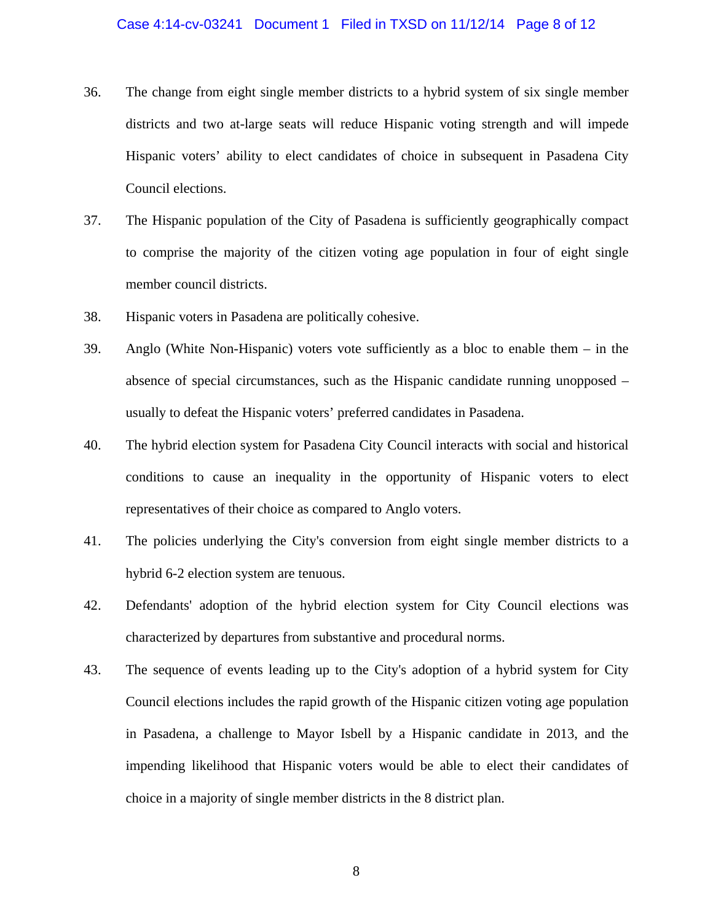## Case 4:14-cv-03241 Document 1 Filed in TXSD on 11/12/14 Page 8 of 12

- 36. The change from eight single member districts to a hybrid system of six single member districts and two at-large seats will reduce Hispanic voting strength and will impede Hispanic voters' ability to elect candidates of choice in subsequent in Pasadena City Council elections.
- 37. The Hispanic population of the City of Pasadena is sufficiently geographically compact to comprise the majority of the citizen voting age population in four of eight single member council districts.
- 38. Hispanic voters in Pasadena are politically cohesive.
- 39. Anglo (White Non-Hispanic) voters vote sufficiently as a bloc to enable them in the absence of special circumstances, such as the Hispanic candidate running unopposed – usually to defeat the Hispanic voters' preferred candidates in Pasadena.
- 40. The hybrid election system for Pasadena City Council interacts with social and historical conditions to cause an inequality in the opportunity of Hispanic voters to elect representatives of their choice as compared to Anglo voters.
- 41. The policies underlying the City's conversion from eight single member districts to a hybrid 6-2 election system are tenuous.
- 42. Defendants' adoption of the hybrid election system for City Council elections was characterized by departures from substantive and procedural norms.
- 43. The sequence of events leading up to the City's adoption of a hybrid system for City Council elections includes the rapid growth of the Hispanic citizen voting age population in Pasadena, a challenge to Mayor Isbell by a Hispanic candidate in 2013, and the impending likelihood that Hispanic voters would be able to elect their candidates of choice in a majority of single member districts in the 8 district plan.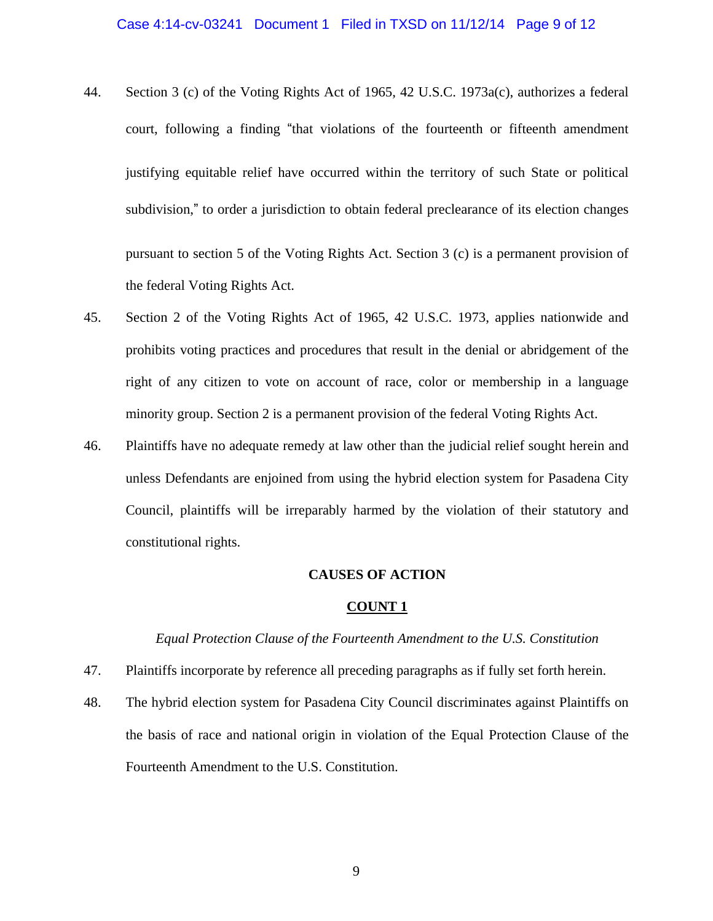- 44. Section 3 (c) of the Voting Rights Act of 1965, 42 U.S.C. 1973a(c), authorizes a federal court, following a finding "that violations of the fourteenth or fifteenth amendment justifying equitable relief have occurred within the territory of such State or political subdivision," to order a jurisdiction to obtain federal preclearance of its election changes pursuant to section 5 of the Voting Rights Act. Section 3 (c) is a permanent provision of the federal Voting Rights Act.
- 45. Section 2 of the Voting Rights Act of 1965, 42 U.S.C. 1973, applies nationwide and prohibits voting practices and procedures that result in the denial or abridgement of the right of any citizen to vote on account of race, color or membership in a language minority group. Section 2 is a permanent provision of the federal Voting Rights Act.
- 46. Plaintiffs have no adequate remedy at law other than the judicial relief sought herein and unless Defendants are enjoined from using the hybrid election system for Pasadena City Council, plaintiffs will be irreparably harmed by the violation of their statutory and constitutional rights.

## **CAUSES OF ACTION**

#### **COUNT 1**

#### *Equal Protection Clause of the Fourteenth Amendment to the U.S. Constitution*

- 47. Plaintiffs incorporate by reference all preceding paragraphs as if fully set forth herein.
- 48. The hybrid election system for Pasadena City Council discriminates against Plaintiffs on the basis of race and national origin in violation of the Equal Protection Clause of the Fourteenth Amendment to the U.S. Constitution.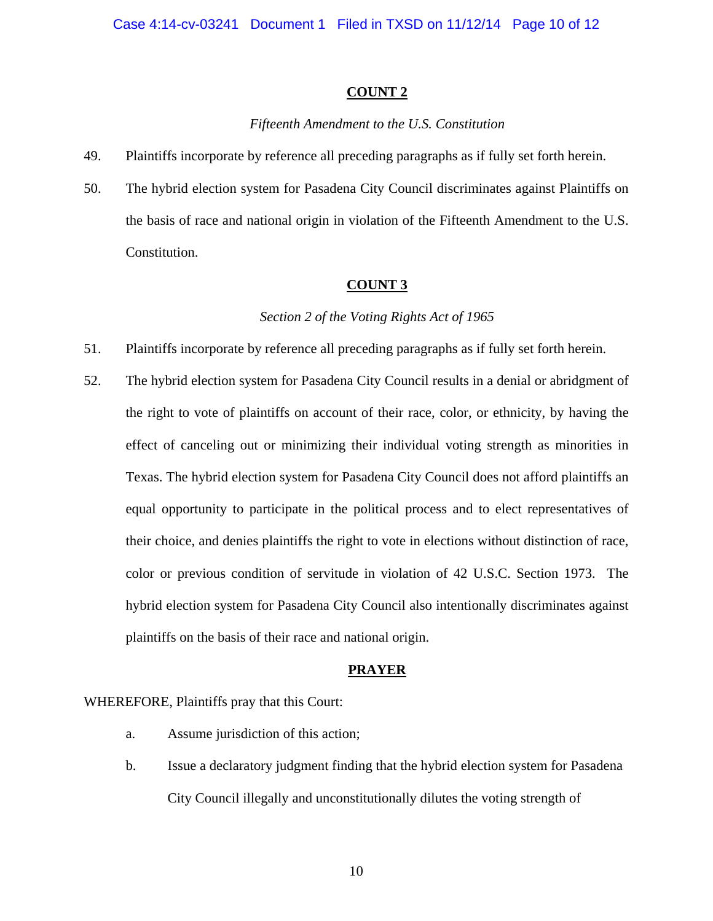## **COUNT 2**

## *Fifteenth Amendment to the U.S. Constitution*

- 49. Plaintiffs incorporate by reference all preceding paragraphs as if fully set forth herein.
- 50. The hybrid election system for Pasadena City Council discriminates against Plaintiffs on the basis of race and national origin in violation of the Fifteenth Amendment to the U.S. Constitution.

# **COUNT 3**

### *Section 2 of the Voting Rights Act of 1965*

- 51. Plaintiffs incorporate by reference all preceding paragraphs as if fully set forth herein.
- 52. The hybrid election system for Pasadena City Council results in a denial or abridgment of the right to vote of plaintiffs on account of their race, color, or ethnicity, by having the effect of canceling out or minimizing their individual voting strength as minorities in Texas. The hybrid election system for Pasadena City Council does not afford plaintiffs an equal opportunity to participate in the political process and to elect representatives of their choice, and denies plaintiffs the right to vote in elections without distinction of race, color or previous condition of servitude in violation of 42 U.S.C. Section 1973. The hybrid election system for Pasadena City Council also intentionally discriminates against plaintiffs on the basis of their race and national origin.

## **PRAYER**

## WHEREFORE, Plaintiffs pray that this Court:

- a. Assume jurisdiction of this action;
- b. Issue a declaratory judgment finding that the hybrid election system for Pasadena City Council illegally and unconstitutionally dilutes the voting strength of

10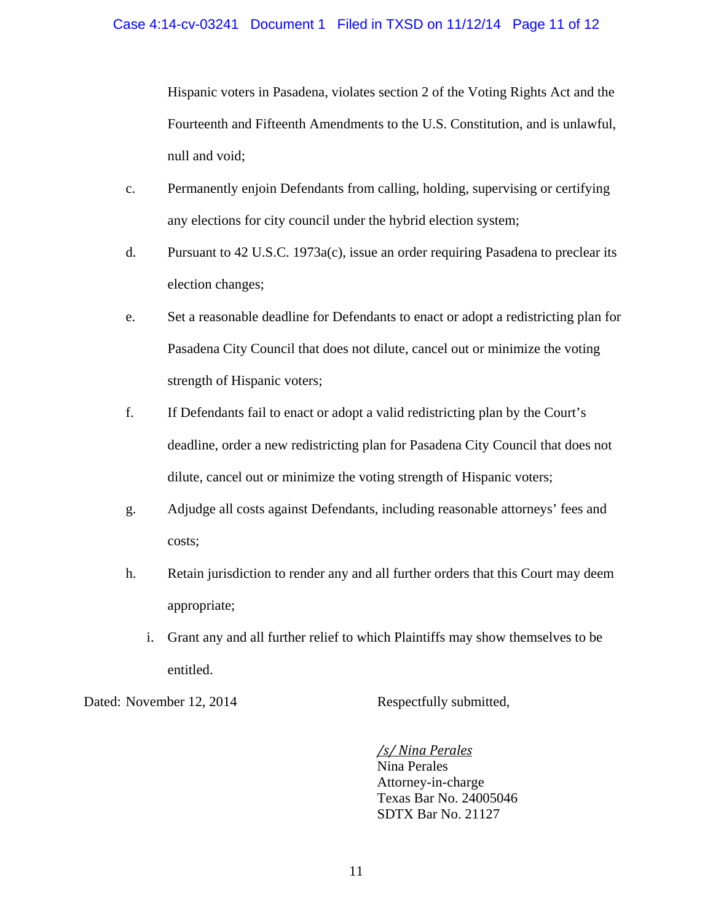Hispanic voters in Pasadena, violates section 2 of the Voting Rights Act and the Fourteenth and Fifteenth Amendments to the U.S. Constitution, and is unlawful, null and void;

- c. Permanently enjoin Defendants from calling, holding, supervising or certifying any elections for city council under the hybrid election system;
- d. Pursuant to 42 U.S.C. 1973a(c), issue an order requiring Pasadena to preclear its election changes;
- e. Set a reasonable deadline for Defendants to enact or adopt a redistricting plan for Pasadena City Council that does not dilute, cancel out or minimize the voting strength of Hispanic voters;
- f. If Defendants fail to enact or adopt a valid redistricting plan by the Court's deadline, order a new redistricting plan for Pasadena City Council that does not dilute, cancel out or minimize the voting strength of Hispanic voters;
- g. Adjudge all costs against Defendants, including reasonable attorneys' fees and costs;
- h. Retain jurisdiction to render any and all further orders that this Court may deem appropriate;
	- i. Grant any and all further relief to which Plaintiffs may show themselves to be entitled.

Dated: November 12, 2014 Respectfully submitted,

 */s/ Nina Perales* Nina Perales Attorney-in-charge Texas Bar No. 24005046 SDTX Bar No. 21127